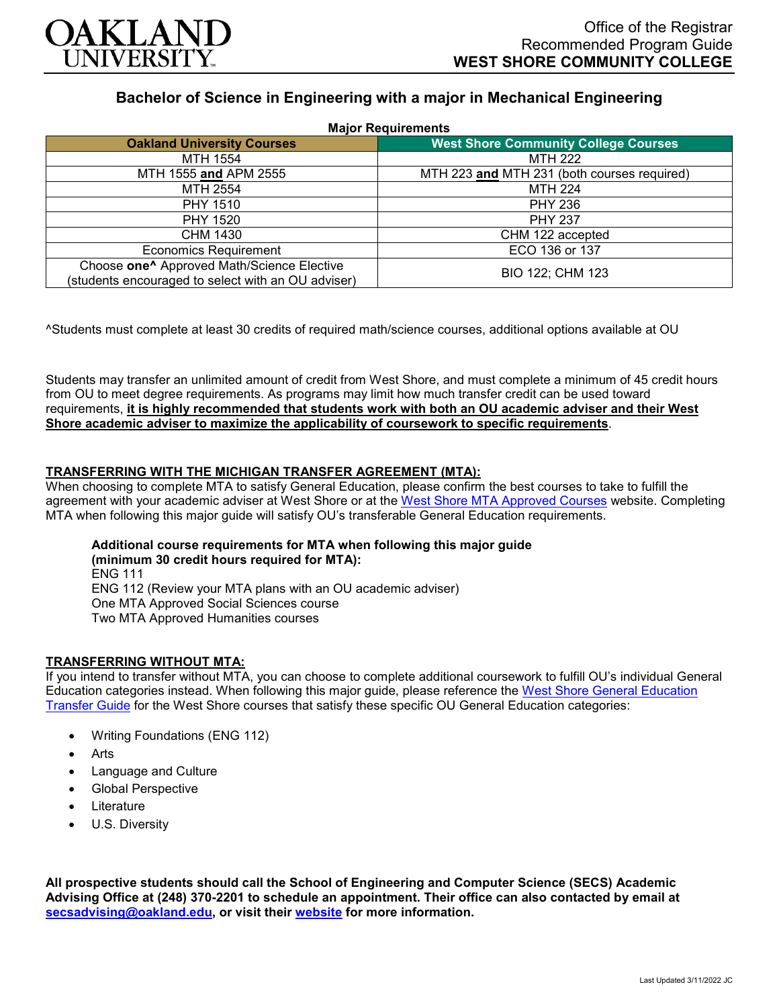

# **Bachelor of Science in Engineering with a major in Mechanical Engineering**

| <b>Major Requirements</b>                                                                                    |                                             |
|--------------------------------------------------------------------------------------------------------------|---------------------------------------------|
| <b>Oakland University Courses</b>                                                                            | <b>West Shore Community College Courses</b> |
| MTH 1554                                                                                                     | <b>MTH 222</b>                              |
| MTH 1555 and APM 2555                                                                                        | MTH 223 and MTH 231 (both courses required) |
| MTH 2554                                                                                                     | <b>MTH 224</b>                              |
| <b>PHY 1510</b>                                                                                              | <b>PHY 236</b>                              |
| <b>PHY 1520</b>                                                                                              | <b>PHY 237</b>                              |
| CHM 1430                                                                                                     | CHM 122 accepted                            |
| <b>Economics Requirement</b>                                                                                 | ECO 136 or 137                              |
| Choose one <sup>^</sup> Approved Math/Science Elective<br>(students encouraged to select with an OU adviser) | BIO 122; CHM 123                            |

^Students must complete at least 30 credits of required math/science courses, additional options available at OU

Students may transfer an unlimited amount of credit from West Shore, and must complete a minimum of 45 credit hours from OU to meet degree requirements. As programs may limit how much transfer credit can be used toward requirements, **it is highly recommended that students work with both an OU academic adviser and their West Shore academic adviser to maximize the applicability of coursework to specific requirements**.

## **TRANSFERRING WITH THE MICHIGAN TRANSFER AGREEMENT (MTA):**

When choosing to complete MTA to satisfy General Education, please confirm the best courses to take to fulfill the agreement with your academic adviser at West Shore or at the [West Shore MTA Approved Courses](https://www.westshore.edu/admissions/transfer-students/) website. Completing MTA when following this major guide will satisfy OU's transferable General Education requirements.

# **Additional course requirements for MTA when following this major guide**

**(minimum 30 credit hours required for MTA):** ENG 111 ENG 112 (Review your MTA plans with an OU academic adviser) One MTA Approved Social Sciences course Two MTA Approved Humanities courses

#### **TRANSFERRING WITHOUT MTA:**

If you intend to transfer without MTA, you can choose to complete additional coursework to fulfill OU's individual General Education categories instead. When following this major guide, please reference the [West Shore General Education](https://www.oakland.edu/Assets/Oakland/program-guides/west-shore-community-college/university-general-education-requirements/West%20Shore%20Gen%20Ed.pdf)  [Transfer Guide](https://www.oakland.edu/Assets/Oakland/program-guides/west-shore-community-college/university-general-education-requirements/West%20Shore%20Gen%20Ed.pdf) for the West Shore courses that satisfy these specific OU General Education categories:

- Writing Foundations (ENG 112)
- **Arts**
- Language and Culture
- Global Perspective
- **Literature**
- U.S. Diversity

**All prospective students should call the School of Engineering and Computer Science (SECS) Academic Advising Office at (248) 370-2201 to schedule an appointment. Their office can also contacted by email at [secsadvising@oakland.edu,](mailto:secsadvising@oakland.edu) or visit their [website](https://wwwp.oakland.edu/secs/advising/) for more information.**